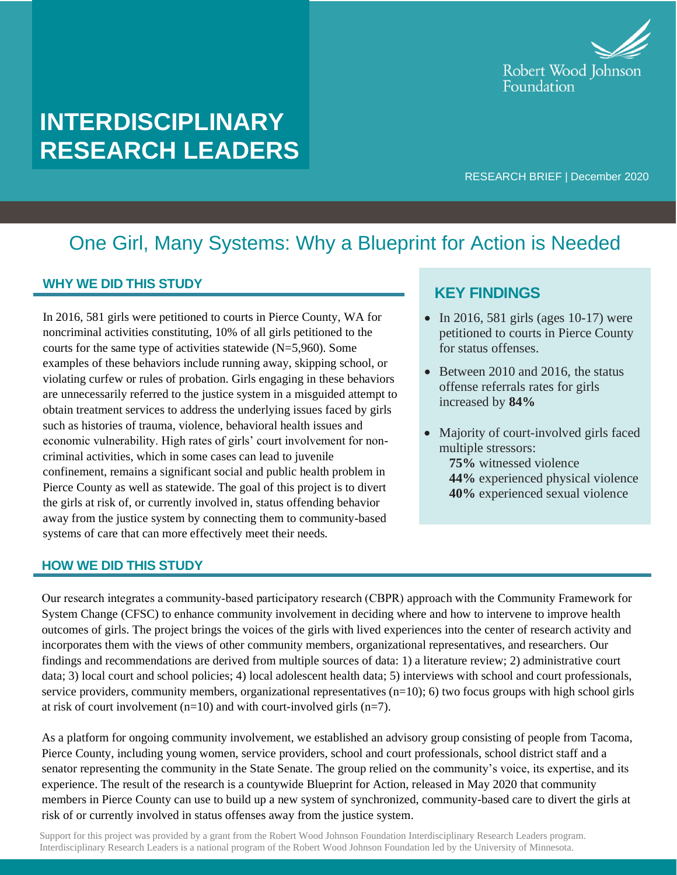

# **INTERDISCIPLINARY RESEARCH LEADERS**

RESEARCH BRIEF | December 2020

## One Girl, Many Systems: Why a Blueprint for Action is Needed

#### **WHY WE DID THIS STUDY**

In 2016, 581 girls were petitioned to courts in Pierce County, WA for noncriminal activities constituting, 10% of all girls petitioned to the courts for the same type of activities statewide (N=5,960). Some examples of these behaviors include running away, skipping school, or violating curfew or rules of probation. Girls engaging in these behaviors are unnecessarily referred to the justice system in a misguided attempt to obtain treatment services to address the underlying issues faced by girls such as histories of trauma, violence, behavioral health issues and economic vulnerability. High rates of girls' court involvement for noncriminal activities, which in some cases can lead to juvenile confinement, remains a significant social and public health problem in Pierce County as well as statewide. The goal of this project is to divert the girls at risk of, or currently involved in, status offending behavior away from the justice system by connecting them to community-based systems of care that can more effectively meet their needs.

#### **HOW WE DID THIS STUDY**

### **KEY FINDINGS**

- In 2016, 581 girls (ages 10-17) were petitioned to courts in Pierce County for status offenses.
- Between 2010 and 2016, the status offense referrals rates for girls increased by **84%**
- Majority of court-involved girls faced multiple stressors:
	- **75%** witnessed violence **44%** experienced physical violence **40%** experienced sexual violence

Our research integrates a community‐based participatory research (CBPR) approach with the Community Framework for System Change (CFSC) to enhance community involvement in deciding where and how to intervene to improve health outcomes of girls. The project brings the voices of the girls with lived experiences into the center of research activity and incorporates them with the views of other community members, organizational representatives, and researchers. Our findings and recommendations are derived from multiple sources of data: 1) a literature review; 2) administrative court data; 3) local court and school policies; 4) local adolescent health data; 5) interviews with school and court professionals, service providers, community members, organizational representatives  $(n=10)$ ; 6) two focus groups with high school girls at risk of court involvement  $(n=10)$  and with court-involved girls  $(n=7)$ .

As a platform for ongoing community involvement, we established an advisory group consisting of people from Tacoma, Pierce County, including young women, service providers, school and court professionals, school district staff and a senator representing the community in the State Senate. The group relied on the community's voice, its expertise, and its experience. The result of the research is a countywide Blueprint for Action, released in May 2020 that community members in Pierce County can use to build up a new system of synchronized, community-based care to divert the girls at risk of or currently involved in status offenses away from the justice system.

Support for this project was provided by a grant from the Robert Wood Johnson Foundation Interdisciplinary Research Leaders program. Interdisciplinary Research Leaders is a national program of the Robert Wood Johnson Foundation led by the University of Minnesota.